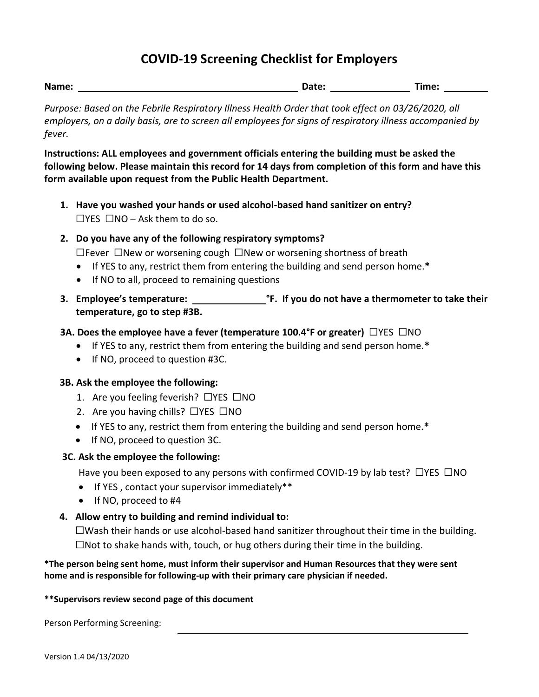# **COVID-19 Screening Checklist for Employers**

| Name: | <b>Date:</b> | Time: |  |
|-------|--------------|-------|--|
|       |              |       |  |

*Purpose: Based on the Febrile Respiratory Illness Health Order that took effect on 03/26/2020, all employers, on a daily basis, are to screen all employees for signs of respiratory illness accompanied by fever.* 

**Instructions: ALL employees and government officials entering the building must be asked the following below. Please maintain this record for 14 days from completion of this form and have this form available upon request from the Public Health Department.**

- **1. Have you washed your hands or used alcohol-based hand sanitizer on entry?**  $\Box$ YES  $\Box$ NO – Ask them to do so.
- **2. Do you have any of the following respiratory symptoms?**

☐Fever ☐New or worsening cough ☐New or worsening shortness of breath

- If YES to any, restrict them from entering the building and send person home.**\***
- If NO to all, proceed to remaining questions
- **3. Employee's temperature: °F. If you do not have a thermometer to take their temperature, go to step #3B.**

## **3A. Does the employee have a fever (temperature 100.4°F or greater)**  $\Box$ YES  $\Box$ NO

- If YES to any, restrict them from entering the building and send person home.**\***
- If NO, proceed to question #3C.

### **3B. Ask the employee the following:**

- 1. Are you feeling feverish? ☐YES ☐NO
- 2. Are you having chills? □YES □NO
- If YES to any, restrict them from entering the building and send person home.**\***
- If NO, proceed to question 3C.

### **3C. Ask the employee the following:**

Have you been exposed to any persons with confirmed COVID-19 by lab test?  $\Box$ YES  $\Box$ NO

- If YES , contact your supervisor immediately\*\*
- If NO, proceed to #4
- **4. Allow entry to building and remind individual to:**

 $\square$ Wash their hands or use alcohol-based hand sanitizer throughout their time in the building.  $\Box$ Not to shake hands with, touch, or hug others during their time in the building.

#### **\*The person being sent home, must inform their supervisor and Human Resources that they were sent home and is responsible for following-up with their primary care physician if needed.**

#### **\*\*Supervisors review second page of this document**

Person Performing Screening: